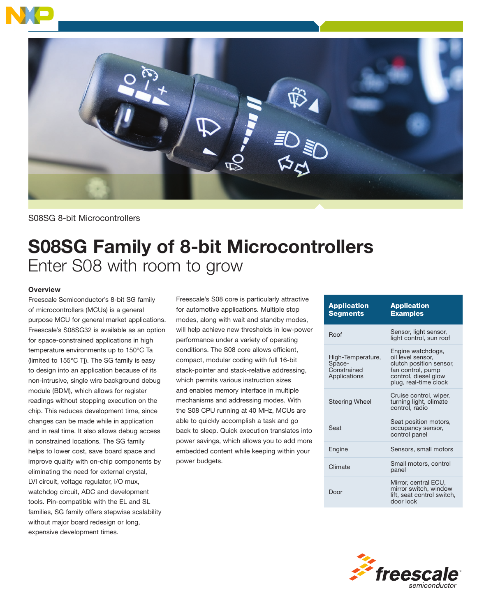



S08SG 8-bit Microcontrollers

# S08SG Family of 8-bit Microcontrollers Enter S08 with room to grow

## **Overview**

Freescale Semiconductor's 8-bit SG family of microcontrollers (MCUs) is a general purpose MCU for general market applications. Freescale's S08SG32 is available as an option for space-constrained applications in high temperature environments up to 150°C Ta (limited to 155°C Tj). The SG family is easy to design into an application because of its non-intrusive, single wire background debug module (BDM), which allows for register readings without stopping execution on the chip. This reduces development time, since changes can be made while in application and in real time. It also allows debug access in constrained locations. The SG family helps to lower cost, save board space and improve quality with on-chip components by eliminating the need for external crystal, LVI circuit, voltage regulator, I/O mux, watchdog circuit, ADC and development tools. Pin-compatible with the EL and SL families, SG family offers stepwise scalability without major board redesign or long, expensive development times.

Freescale's S08 core is particularly attractive for automotive applications. Multiple stop modes, along with wait and standby modes, will help achieve new thresholds in low-power performance under a variety of operating conditions. The S08 core allows efficient, compact, modular coding with full 16-bit stack-pointer and stack-relative addressing, which permits various instruction sizes and enables memory interface in multiple mechanisms and addressing modes. With the S08 CPU running at 40 MHz, MCUs are able to quickly accomplish a task and go back to sleep. Quick execution translates into power savings, which allows you to add more embedded content while keeping within your power budgets.

| <b>Application</b><br><b>Segments</b>                      | <b>Application</b><br><b>Examples</b>                                                                                                   |
|------------------------------------------------------------|-----------------------------------------------------------------------------------------------------------------------------------------|
| Roof                                                       | Sensor, light sensor,<br>light control, sun roof                                                                                        |
| High-Temperature,<br>Space-<br>Constrained<br>Applications | Engine watchdogs,<br>oil level sensor.<br>clutch position sensor,<br>fan control, pump<br>control, diesel glow<br>plug, real-time clock |
| <b>Steering Wheel</b>                                      | Cruise control, wiper,<br>turning light, climate<br>control, radio                                                                      |
| Seat                                                       | Seat position motors,<br>occupancy sensor,<br>control panel                                                                             |
| Engine                                                     | Sensors, small motors                                                                                                                   |
| Climate                                                    | Small motors, control<br>panel                                                                                                          |
| Door                                                       | Mirror, central ECU.<br>mirror switch, window<br>lift, seat control switch,<br>door lock                                                |